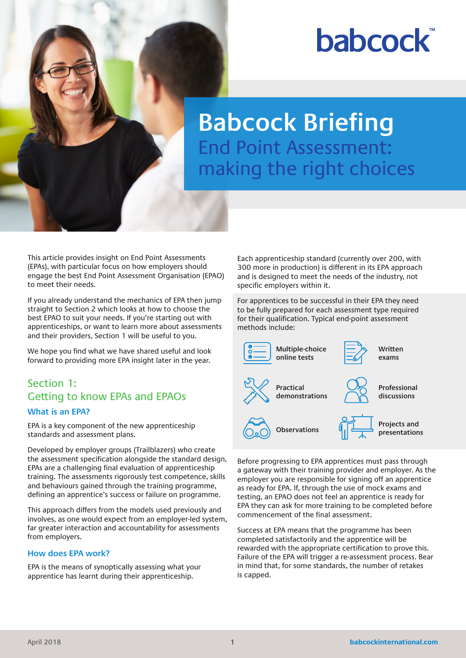# **babcock**

# **Babcock Briefing** End Point Assessment: making the right choices

This article provides insight on End Point Assessments (EPAs), with particular focus on how employers should engage the best End Point Assessment Organisation (EPAO) to meet their needs.

If you already understand the mechanics of EPA then jump straight to Section 2 which looks at how to choose the best EPAO to suit your needs. If you're starting out with apprenticeships, or want to learn more about assessments and their providers, Section 1 will be useful to you.

We hope you find what we have shared useful and look forward to providing more EPA insight later in the year.

## Section 1: Getting to know EPAs and EPAOs **What is an EPA?**

EPA is a key component of the new apprenticeship standards and assessment plans.

Developed by employer groups (Trailblazers) who create the assessment specification alongside the standard design, EPAs are a challenging final evaluation of apprenticeship training. The assessments rigorously test competence, skills and behaviours gained through the training programme, defining an apprentice's success or failure on programme.

This approach differs from the models used previously and involves, as one would expect from an employer-led system, far greater interaction and accountability for assessments from employers.

#### **How does EPA work?**

EPA is the means of synoptically assessing what your apprentice has learnt during their apprenticeship.

Each apprenticeship standard (currently over 200, with 300 more in production) is different in its EPA approach and is designed to meet the needs of the industry, not specific employers within it.

For apprentices to be successful in their EPA they need to be fully prepared for each assessment type required for their qualification. Typical end-point assessment methods include:



Before progressing to EPA apprentices must pass through a gateway with their training provider and employer. As the employer you are responsible for signing off an apprentice as ready for EPA. If, through the use of mock exams and testing, an EPAO does not feel an apprentice is ready for EPA they can ask for more training to be completed before commencement of the final assessment.

Success at EPA means that the programme has been completed satisfactorily and the apprentice will be rewarded with the appropriate certification to prove this. Failure of the EPA will trigger a re-assessment process. Bear in mind that, for some standards, the number of retakes is capped.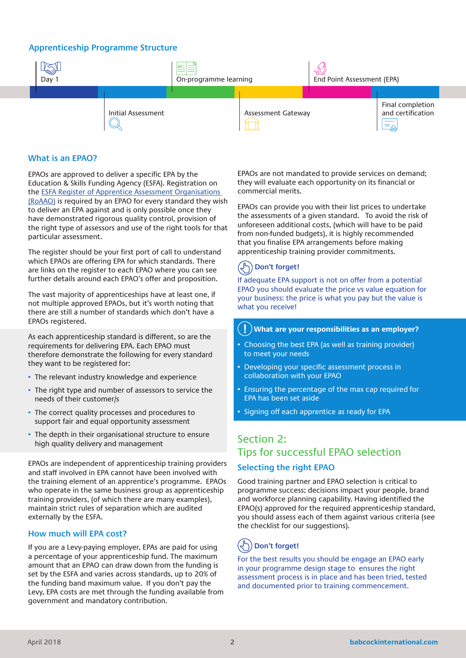#### **Apprenticeship Programme Structure**



#### **What is an EPAO?**

EPAOs are approved to deliver a specific EPA by the Education & Skills Funding Agency (ESFA). Registration on the ESFA Register of Apprentice Assessment Organisations (RoAAO) is required by an EPAO for every standard they wish to deliver an EPA against and is only possible once they have demonstrated rigorous quality control, provision of the right type of assessors and use of the right tools for that particular assessment.

The register should be your first port of call to understand which EPAOs are offering EPA for which standards. There are links on the register to each EPAO where you can see further details around each EPAO's offer and proposition.

The vast majority of apprenticeships have at least one, if not multiple approved EPAOs, but it's worth noting that there are still a number of standards which don't have a EPAOs registered.

As each apprenticeship standard is different, so are the requirements for delivering EPA. Each EPAO must therefore demonstrate the following for every standard they want to be registered for:

- The relevant industry knowledge and experience
- The right type and number of assessors to service the needs of their customer/s
- The correct quality processes and procedures to support fair and equal opportunity assessment
- The depth in their organisational structure to ensure high quality delivery and management

EPAOs are independent of apprenticeship training providers and staff involved in EPA cannot have been involved with the training element of an apprentice's programme. EPAOs who operate in the same business group as apprenticeship training providers, (of which there are many examples), maintain strict rules of separation which are audited externally by the ESFA.

#### **How much will EPA cost?**

If you are a Levy-paying employer, EPAs are paid for using a percentage of your apprenticeship fund. The maximum amount that an EPAO can draw down from the funding is set by the ESFA and varies across standards, up to 20% of the funding band maximum value. If you don't pay the Levy, EPA costs are met through the funding available from government and mandatory contribution.

EPAOs are not mandated to provide services on demand; they will evaluate each opportunity on its financial or commercial merits.

EPAOs can provide you with their list prices to undertake the assessments of a given standard. To avoid the risk of unforeseen additional costs, (which will have to be paid from non-funded budgets), it is highly recommended that you finalise EPA arrangements before making apprenticeship training provider commitments.

## **Don't forget!**

If adequate EPA support is not on offer from a potential EPAO you should evaluate the price vs value equation for your business: the price is what you pay but the value is what you receive!

#### **What are your responsibilities as an employer? !**

- Choosing the best EPA (as well as training provider) to meet your needs
- Developing your specific assessment process in collaboration with your EPAO
- Ensuring the percentage of the max cap required for EPA has been set aside
- Signing off each apprentice as ready for EPA

#### Section 2: Tips for successful EPAO selection **Selecting the right EPAO**

#### Good training partner and EPAO selection is critical to programme success; decisions impact your people, brand and workforce planning capability. Having identified the EPAO(s) approved for the required apprenticeship standard, you should assess each of them against various criteria (see the checklist for our suggestions).

#### $\mathbb{R}^+$ **Don't forget!**

For the best results you should be engage an EPAO early in your programme design stage to ensures the right assessment process is in place and has been tried, tested and documented prior to training commencement.